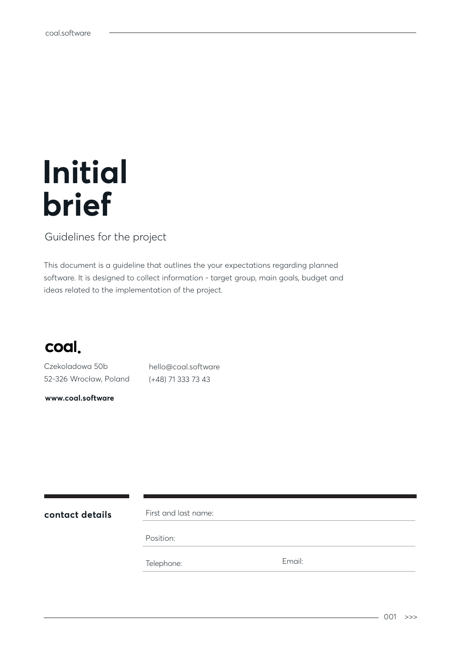# **Initial brief**

#### Guidelines for the project

This document is a guideline that outlines the your expectations regarding planned software. It is designed to collect information - target group, main goals, budget and ideas related to the implementation of the project.



Czekoladowa 50b 52-326 Wrocław, Poland

**www.coal.software**

hello@coal.software (+48) 71 333 73 43

**contact details** First and last name:

Position:

Telephone: Email: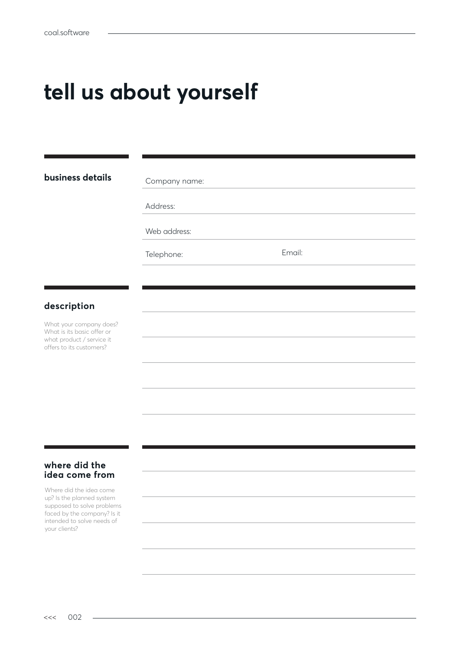# **tell us about yourself**

#### **business details**

Company name:

Address:

Web address:

Telephone: Email:

#### **description**

What your company does? What is its basic offer or what product / service it offers to its customers?

#### **where did the idea come from**

Where did the idea come up? Is the planned system supposed to solve problems faced by the company? Is it intended to solve needs of your clients?

 $\overline{a}$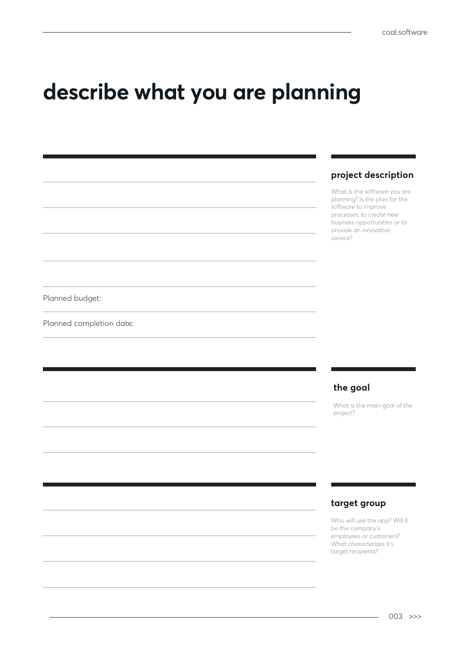## **describe what you are planning**

#### **project description**

What is the software you are planning? Is the plan for the software to improve processes, to create new business opportunities or to provide an innovative service?

Planned budget:

Planned completion date:

#### **the goal**

What is the main goal of the project?

#### **target group**

Who will use the app? Will it be the company's employees or customers? What characterizes it's target recipients?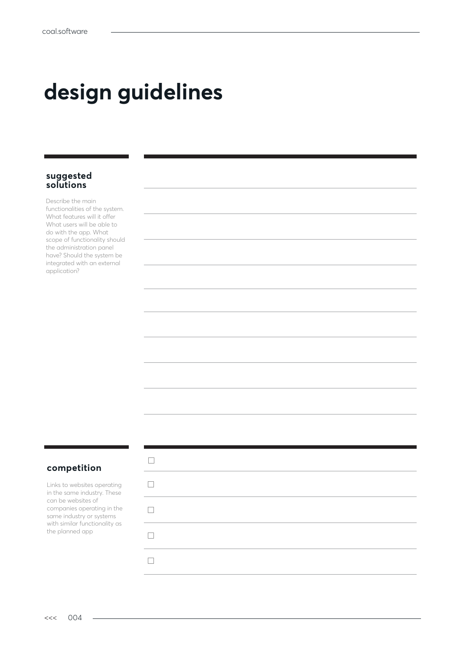# **design guidelines**

#### **suggested solutions**

Describe the main functionalities of the system. What features will it offer What users will be able to do with the app. What scope of functionality should the administration panel have? Should the system be integrated with an external application?

#### **competition**

Links to websites operating in the same industry. These can be websites of companies operating in the same industry or systems with similar functionality as the planned app

 $\sim$